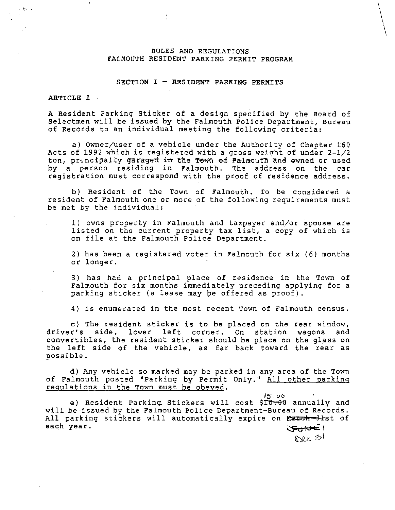# RULES AND REGULATIONS FALMOUTH RESIDENT PARKING PERMIT PROGRAM

÷

# SECTION  $I$  - RESIDENT PARKING PERMITS

# ARTICLE 1

 $\frac{m_{\alpha_1}}{m_{\alpha_2}}$  •  $\blacksquare$ 

A Resident Parking Sticker of a design specified by the Board of Selectmen will be issued by the Falmouth Police Department, Bureau of Records to an individual meeting the following criteria:

a) Owner/user of a vehicle under the Authority of Chapter 160 Acts of 1992 which is registered with a gross weight of under  $2-1/2$ ton, principally garaged in the Tewn of Falmouth and owned or used by a person residing in Falmouth. The address on the car registration must correspond with the proof of residence address.

b) Resident of the Town of Falmouth. To be considered a resident of Falmouth one or more of the following requirements must be met by the individual:

1) owns property in Falmouth and taxpayer and/or spouse are listed on the current property tax list, a copy of which is on file at the Falmouth Police Department.

2) has been a registered voter in Falmouth for six (6) months or longer.

3) has had a principal place of residence in the Town of Falmouth for six months immediately preceding applying for a parking sticker (a lease may be offered as proof).

4) is enumerated in the most recent Town of Falmouth census.

c) The resident sticker is to be placed on the rear window, driver's side, lower left corner. On station wagons and convertibles, the resident sticker should be place on the glass on convertibles, the resident serence should be place on the glass on<br>the left side of the vehicle, as far back toward the rear as possible.

d) Any vehicle so marked may be parked in any area of the Town of Falmouth posted "Parking by Permit Only." All other parking regulations in the Town must be obeyed.

 $i$ 5.oo e) Resident Parking Stickers will cost \$10.00 annually and will be issued by the Falmouth Police Department-Bureau of Records. All parking stickers will automatically expire on March 31st of each year.  $\mathcal{F}_{\mathbf{C}}$  is the set of  $\mathcal{F}_{\mathbf{C}}$  is the set of  $\mathcal{F}_{\mathbf{C}}$ 

 $\alpha$  31

 $\setminus$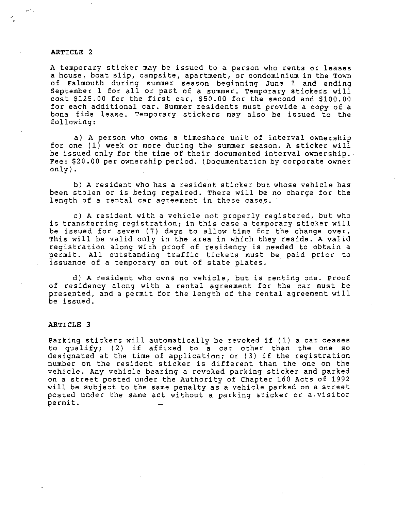### ARTICLE 2

 $\mathbb{R}^{N}$  .

A temporary sticker may be issued to a person who rents or leases a house, boat slip, campsite, apartment, or condominium in the Town of Falmouth during summer season beginning June 1 and ending September 1 for all or part of a summer. Temporary stickers will cost \$125.00 for the first car, \$50.00 for the second and \$100.00 for each additional car. Summer residents must provide a copy of a bona fide lease. Temporary stickers may also be issued to the following:

a) A person who owns a timeshare unit of interval ownership for one (1) week or more during the summer season. A sticker will be issued only for the time of their documented interval ownership. Fee: \$20.00 per ownership period. (Documentation by corporate owner only).

b) A resident who has a resident sticker but whose vehicle has been stolen or is being repaired. There will be no charge for the length of a rental car agreement in these cases.

c) A resident with a vehicle not properly registered, but who is transferring registration; in this case a temporary sticker will be issued for seven (7) days to allow time for the change over. This will be valid only in the area in which they reside. A valid registration along with proof of residency is needed to obtain a permit. All outstanding traffic tickets must be. paid prior to issuance of a temporary on out of state plates.

d) A resident who owns no vehicle, but is renting one. Proof of residency along with a rental agreement for the car must be presented, and a permit for the length of the rental agreement will be issued.

## ARTICLE 3

Parking stickers will automatically be revoked if (1) a car ceases to qualify; (2) if affixed to a car other than the one so designated at the time of application; or (3) if the registration number on the resident sticker is different than the one on the vehicle. Any vehicle bearing a revoked parking sticker and parked on a street posted under the Authority of Chapter 160 Acts of 1992 will be subject to the same penalty as a vehicle parked on a street posted under the same act without a parking sticker or a.visitor permit.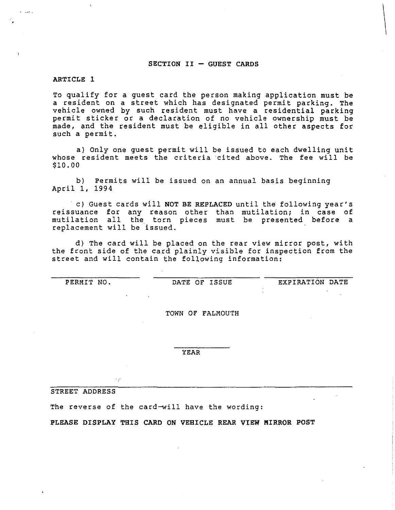#### $SECTION II - GUEST CANS$

ARTICLE 1

To qualify for a guest card the person making application must be a resident on a street which has designated permit parking. The vehicle owned by such resident must have a residential parking permit sticker or a declaration of no vehicle ownership must be made, and the resident must be eligible in all other aspects for such a permit.

a) Only one guest permit will be issued to each dwelling unit whose resident meets the criteria cited above. The fee will be \$10.00

b) Permits will be issued on an annual basis beginning April 1, 1994

c) Guest cards will NOT BE REPLACED until the following year's reissuance for any reason other than mutilation; in case of mutilation all the torn pieces must be presented before a replacement will be issued.

d) The card will be placed on the rear view mirror post, with the front side of the card plainly visible for inspection from the street and will contain the following information:

PERMIT NO. DATE OF ISSUE EXPIRATION DATE

 $\begin{array}{|c|c|} \hline \end{array}$ 

TOWN OF FALMOUTH

YEAR

STREET ADDRESS

The reverse of the card-will have the wording:

PLEASE DISPLAY THIS CARD ON VEHICLE REAR VIEW MIRROR POST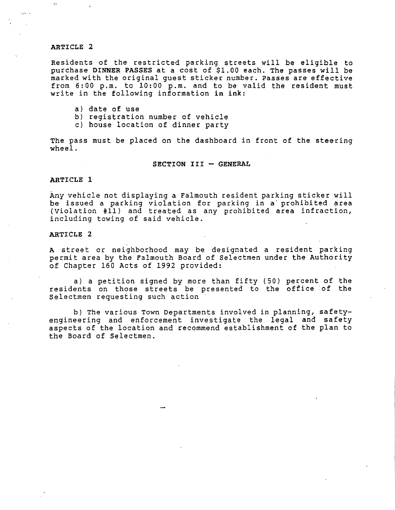# ARTICLE 2

Residents of the restricted parking streets will be eligible to purchase DINNER PASSES at a cost of \$1.00 each. The passes will be marked with the original guest sticker number. Passes are effective from 6:00 p.m. to 10:00 p.m. and to be valid the resident must write in the following information in ink:

- a) date of use
- b) registration number of vehicle
- c) house location of dinner party

The pass must be placed on the dashboard in front of the steering wheel.

## SECTION III - GENERAL

## ARTICLE 1

Any vehicle not displaying a Falmouth resident parking sticker will be issued a parking violation for parking in a· prohibited area (Violation  $#11$ ) and treated as any prohibited area infraction, including towing of said vehicle.

# ARTICLE 2

A street or neighborhood may be designated a resident parking permit area by the Falmouth Board of Selectmen under the Authority of Chapter 160 Acts of 1992 provided:

a) a petition signed by more than fifty (50) percent of the residents on those streets be presented to the office of the Selectmen requesting such action

b) The various Town Departments involved in planning, safetyengineering and enforcement investigate the legal and safety aspects of the location and recommend establishment of the plan to the Board of Selectmen.